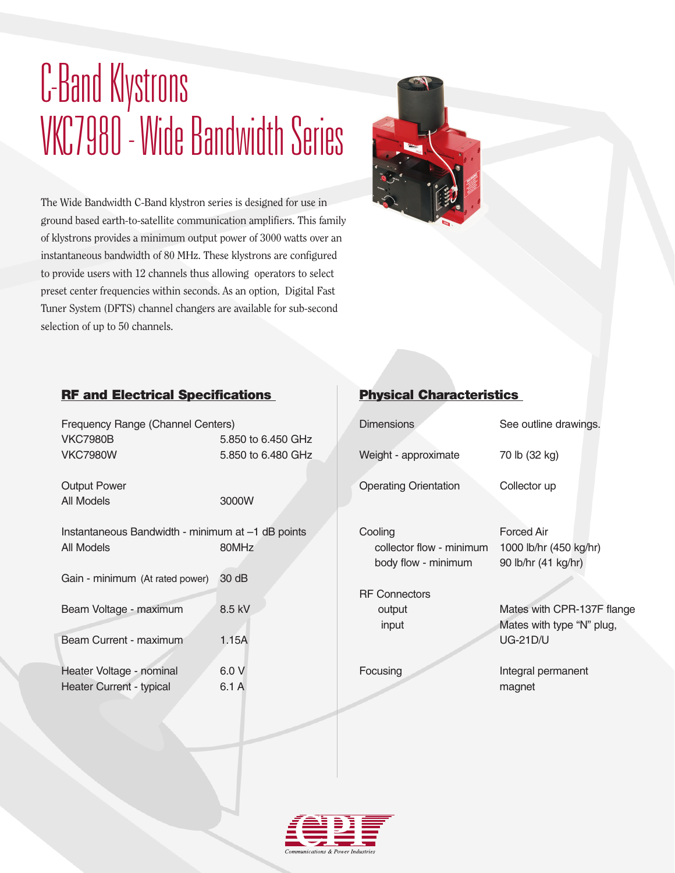# C-Band Klystrons VKC7980 - Wide Bandwidth Series

The Wide Bandwidth C-Band klystron series is designed for use in ground based earth-to-satellite communication amplifiers. This family of klystrons provides a minimum output power of 3000 watts over an instantaneous bandwidth of 80 MHz. These klystrons are configured to provide users with 12 channels thus allowing operators to select preset center frequencies within seconds. As an option, Digital Fast Tuner System (DFTS) channel changers are available for sub-second selection of up to 50 channels.



### RF and Electrical Specifications

| Frequency Range (Channel Centers)<br><b>VKC7980B</b><br><b>VKC7980W</b> | 5.850 to 6.450 GHz<br>5.850 to 6.480 GHz |  |  |
|-------------------------------------------------------------------------|------------------------------------------|--|--|
| <b>Output Power</b><br>All Models                                       | 3000W                                    |  |  |
| Instantaneous Bandwidth - minimum at -1 dB points<br>All Models         | 80MHz                                    |  |  |
| Gain - minimum (At rated power)                                         | 30 dB                                    |  |  |
| Beam Voltage - maximum                                                  | 8.5 kV                                   |  |  |
| Beam Current - maximum                                                  | 1.15A                                    |  |  |
| Heater Voltage - nominal<br><b>Heater Current - typical</b>             | 6.0V<br>6.1 A                            |  |  |

## Physical Characteristics

| <b>Dimensions</b>                                          | See outline drawings.                                               |  |  |
|------------------------------------------------------------|---------------------------------------------------------------------|--|--|
| Weight - approximate                                       | 70 lb (32 kg)                                                       |  |  |
| <b>Operating Orientation</b>                               | Collector up                                                        |  |  |
| Cooling<br>collector flow - minimum<br>body flow - minimum | Forced Air<br>1000 lb/hr (450 kg/hr)<br>90 lb/hr (41 kg/hr)         |  |  |
| <b>RF Connectors</b>                                       |                                                                     |  |  |
| output<br>input                                            | Mates with CPR-137F flange<br>Mates with type "N" plug,<br>UG-21D/U |  |  |
| Focusing                                                   | Integral permanent<br>magnet                                        |  |  |